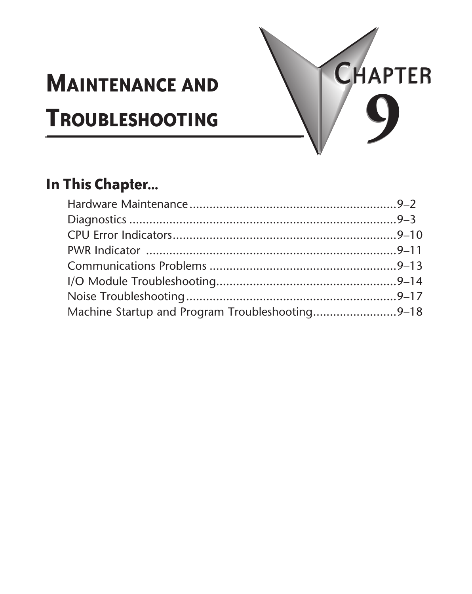# **Maintenance and Troubleshooting 9**



## **In This Chapter...**

| Machine Startup and Program Troubleshooting9-18 |  |
|-------------------------------------------------|--|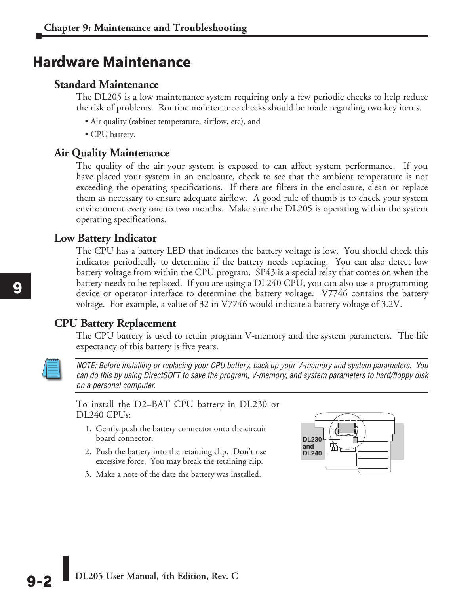## **Hardware Maintenance**

#### **Standard Maintenance**

The DL205 is a low maintenance system requiring only a few periodic checks to help reduce the risk of problems. Routine maintenance checks should be made regarding two key items.

- Air quality (cabinet temperature, airflow, etc), and
- CPU battery.

#### **Air Quality Maintenance**

The quality of the air your system is exposed to can affect system performance. If you have placed your system in an enclosure, check to see that the ambient temperature is not exceeding the operating specifications. If there are filters in the enclosure, clean or replace them as necessary to ensure adequate airflow. A good rule of thumb is to check your system environment every one to two months. Make sure the DL205 is operating within the system operating specifications.

#### **Low Battery Indicator**

The CPU has a battery LED that indicates the battery voltage is low. You should check this indicator periodically to determine if the battery needs replacing. You can also detect low battery voltage from within the CPU program. SP43 is a special relay that comes on when the battery needs to be replaced. If you are using a DL240 CPU, you can also use a programming device or operator interface to determine the battery voltage. V7746 contains the battery voltage. For example, a value of 32 in V7746 would indicate a battery voltage of 3.2V.

#### **CPU Battery Replacement**

The CPU battery is used to retain program V-memory and the system parameters. The life expectancy of this battery is five years.



*NOTE: Before installing or replacing your CPU battery, back up your V-memory and system parameters. You can do this by using DirectSOFT to save the program, V-memory, and system parameters to hard/floppy disk on a personal computer.*

To install the D2–BAT CPU battery in DL230 or DL240 CPUs:

- 1. Gently push the battery connector onto the circuit board connector.
- 2. Push the battery into the retaining clip. Don't use excessive force. You may break the retaining clip.
- 3. Make a note of the date the battery was installed.

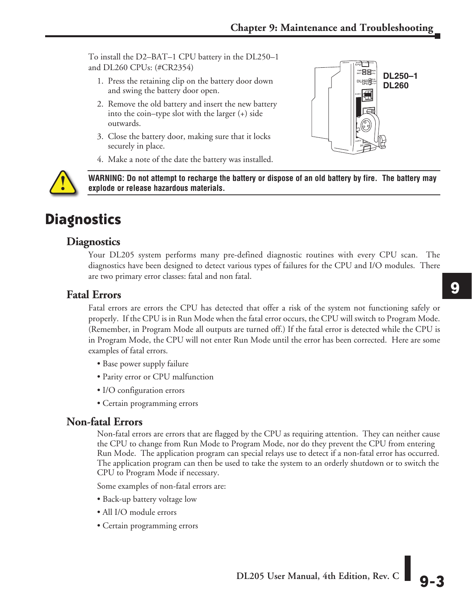To install the D2–BAT–1 CPU battery in the DL250–1 and DL260 CPUs: (#CR2354)

- 1. Press the retaining clip on the battery door down and swing the battery door open.
- 2. Remove the old battery and insert the new battery into the coin–type slot with the larger (+) side outwards.
- 3. Close the battery door, making sure that it locks securely in place.
- 4. Make a note of the date the battery was installed.



**WARNING: Do not attempt to recharge the battery or dispose of an old battery by fire. The battery may explode or release hazardous materials.**

## **Diagnostics**

#### **Diagnostics**

Your DL205 system performs many pre-defined diagnostic routines with every CPU scan. The diagnostics have been designed to detect various types of failures for the CPU and I/O modules. There are two primary error classes: fatal and non fatal.

#### **Fatal Errors**

Fatal errors are errors the CPU has detected that offer a risk of the system not functioning safely or properly. If the CPU is in Run Mode when the fatal error occurs, the CPU will switch to Program Mode. (Remember, in Program Mode all outputs are turned off.) If the fatal error is detected while the CPU is in Program Mode, the CPU will not enter Run Mode until the error has been corrected. Here are some examples of fatal errors.

- Base power supply failure
- Parity error or CPU malfunction
- I/O configuration errors
- Certain programming errors

#### **Non-fatal Errors**

Non-fatal errors are errors that are flagged by the CPU as requiring attention. They can neither cause the CPU to change from Run Mode to Program Mode, nor do they prevent the CPU from entering Run Mode. The application program can special relays use to detect if a non-fatal error has occurred. The application program can then be used to take the system to an orderly shutdown or to switch the CPU to Program Mode if necessary.

Some examples of non-fatal errors are:

- Back-up battery voltage low
- All I/O module errors
- Certain programming errors

**9**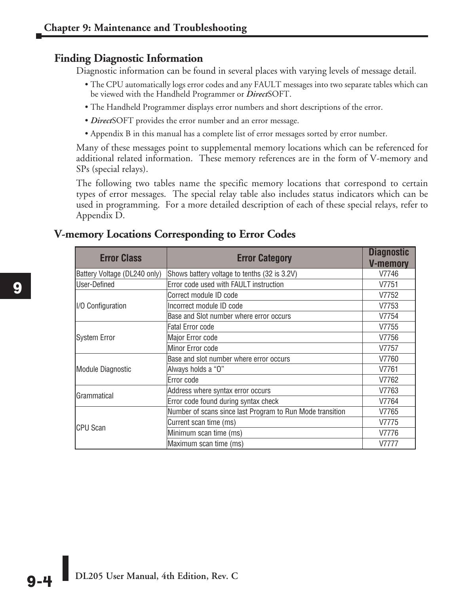#### **Finding Diagnostic Information**

Diagnostic information can be found in several places with varying levels of message detail.

- The CPU automatically logs error codes and any FAULT messages into two separate tables which can be viewed with the Handheld Programmer or *Direct*SOFT.
- The Handheld Programmer displays error numbers and short descriptions of the error.
- *Direct*SOFT provides the error number and an error message.
- Appendix B in this manual has a complete list of error messages sorted by error number.

Many of these messages point to supplemental memory locations which can be referenced for additional related information. These memory references are in the form of V-memory and SPs (special relays).

The following two tables name the specific memory locations that correspond to certain types of error messages. The special relay table also includes status indicators which can be used in programming. For a more detailed description of each of these special relays, refer to Appendix D.

| <b>Error Class</b>           | <b>Error Category</b>                                     | <b>Diagnostic</b><br><b>V-memory</b> |
|------------------------------|-----------------------------------------------------------|--------------------------------------|
| Battery Voltage (DL240 only) | Shows battery voltage to tenths (32 is 3.2V)              | V7746                                |
| User-Defined                 | Error code used with FAULT instruction                    | V7751                                |
|                              | Correct module ID code                                    | V7752                                |
| II/O Configuration           | Incorrect module ID code                                  | V7753                                |
|                              | Base and Slot number where error occurs                   | V7754                                |
|                              | <b>Fatal Error code</b>                                   | V7755                                |
| <b>System Error</b>          | Major Error code                                          | V7756                                |
|                              | Minor Error code                                          | V7757                                |
|                              | Base and slot number where error occurs                   | V7760                                |
| Module Diagnostic            | Always holds a "O"                                        | V7761                                |
|                              | Error code                                                | V7762                                |
| Grammatical                  | Address where syntax error occurs                         | V7763                                |
|                              | Error code found during syntax check                      | V7764                                |
|                              | Number of scans since last Program to Run Mode transition | V7765                                |
|                              | Current scan time (ms)                                    | V7775                                |
| CPU Scan                     | Minimum scan time (ms)                                    | V7776                                |
|                              | Maximum scan time (ms)                                    | V7777                                |

#### **V-memory Locations Corresponding to Error Codes**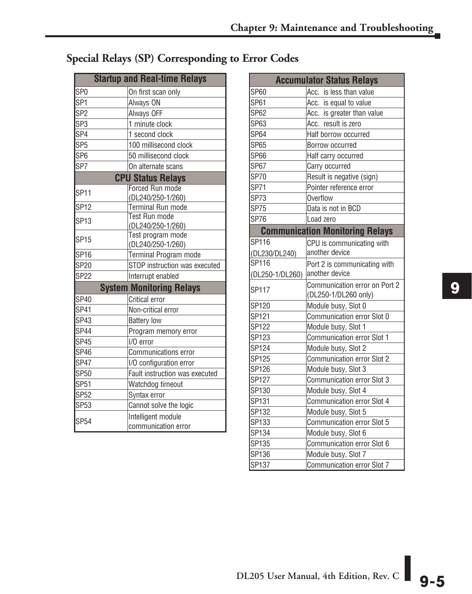### **Special Relays (SP) Corresponding to Error Codes**

| <b>Startup and Real-time Relays</b> |                                           |  |  |
|-------------------------------------|-------------------------------------------|--|--|
| SP <sub>0</sub>                     | On first scan only                        |  |  |
| SP <sub>1</sub>                     | Always ON                                 |  |  |
| SP <sub>2</sub>                     | Always OFF                                |  |  |
| SP <sub>3</sub>                     | 1 minute clock                            |  |  |
| SP <sub>4</sub>                     | 1 second clock                            |  |  |
| SP <sub>5</sub>                     | 100 millisecond clock                     |  |  |
| SP <sub>6</sub>                     | 50 millisecond clock                      |  |  |
| SP7                                 | On alternate scans                        |  |  |
|                                     | <b>CPU Status Relays</b>                  |  |  |
| <b>SP11</b>                         | Forced Run mode                           |  |  |
|                                     | (DL240/250-1/260)                         |  |  |
| <b>SP12</b>                         | Terminal Run mode                         |  |  |
| <b>SP13</b>                         | <b>Test Run mode</b>                      |  |  |
|                                     | (DL240/250-1/260)<br>Test program mode    |  |  |
| <b>SP15</b>                         | (DL240/250-1/260)                         |  |  |
| <b>SP16</b>                         | Terminal Program mode                     |  |  |
| <b>SP20</b>                         | STOP instruction was executed             |  |  |
| <b>SP22</b>                         | Interrupt enabled                         |  |  |
|                                     | <b>System Monitoring Relays</b>           |  |  |
| <b>SP40</b>                         | Critical error                            |  |  |
| SP41                                | Non-critical error                        |  |  |
| SP43                                | <b>Battery low</b>                        |  |  |
| <b>SP44</b>                         | Program memory error                      |  |  |
| <b>SP45</b>                         | I/O error                                 |  |  |
| SP46                                | <b>Communications error</b>               |  |  |
| <b>SP47</b>                         | I/O configuration error                   |  |  |
| <b>SP50</b>                         | Fault instruction was executed            |  |  |
| <b>SP51</b>                         | Watchdog timeout                          |  |  |
| <b>SP52</b>                         | Syntax error                              |  |  |
| <b>SP53</b>                         | Cannot solve the logic                    |  |  |
| SP <sub>54</sub>                    | Intelligent module<br>communication error |  |  |

|                 | <b>Accumulator Status Relays</b>                      |
|-----------------|-------------------------------------------------------|
| <b>SP60</b>     | Acc. is less than value                               |
| <b>SP61</b>     | Acc. is equal to value                                |
| <b>SP62</b>     | Acc. is greater than value                            |
| SP63            | Acc. result is zero                                   |
| <b>SP64</b>     | Half borrow occurred                                  |
| <b>SP65</b>     | Borrow occurred                                       |
| <b>SP66</b>     | Half carry occurred                                   |
| <b>SP67</b>     | Carry occurred                                        |
| <b>SP70</b>     | Result is negative (sign)                             |
| <b>SP71</b>     | Pointer reference error                               |
| <b>SP73</b>     | Overflow                                              |
| <b>SP75</b>     | Data is not in BCD                                    |
| <b>SP76</b>     | Load zero                                             |
|                 | <b>Communication Monitoring Relays</b>                |
| SP116           | CPU is communicating with                             |
| (DL230/DL240)   | another device                                        |
| SP116           | Port 2 is communicating with                          |
| (DL250-1/DL260) | another device                                        |
| <b>SP117</b>    | Communication error on Port 2<br>(DL250-1/DL260 only) |
| SP120           | Module busy, Slot 0                                   |
| SP121           | Communication error Slot 0                            |
| SP122           | Module busy, Slot 1                                   |
| SP123           | Communication error Slot 1                            |
| SP124           | Module busy, Slot 2                                   |
| SP125           | Communication error Slot 2                            |
| SP126           | Module busy, Slot 3                                   |
| SP127           | Communication error Slot 3                            |
| SP130           | Module busy, Slot 4                                   |
| SP131           | <b>Communication error Slot 4</b>                     |
| SP132           | Module busy, Slot 5                                   |
| SP133           | Communication error Slot 5                            |
| SP134           | Module busy, Slot 6                                   |
| SP135           | Communication error Slot 6                            |
| SP136           | Module busy, Slot 7                                   |
| <b>SP137</b>    | Communication error Slot 7                            |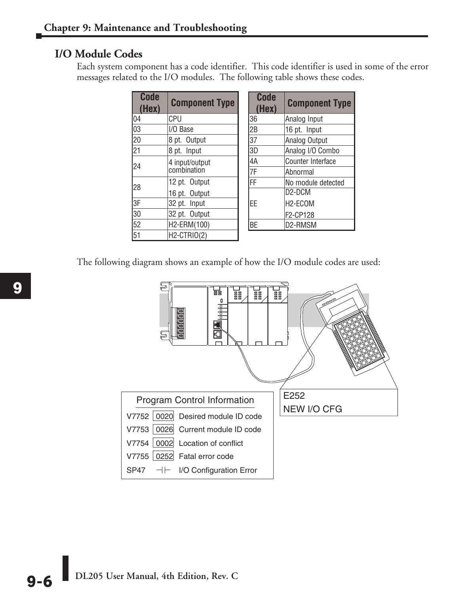#### **I/O Module Codes**

Each system component has a code identifier. This code identifier is used in some of the error messages related to the I/O modules. The following table shows these codes.

| <b>Code</b><br>(Hex) | <b>Component Type</b>         | <b>Code</b><br>(Hex) | <b>Component Type</b>            |
|----------------------|-------------------------------|----------------------|----------------------------------|
| 04                   | CPU                           | 36                   | Analog Input                     |
| 03                   | I/O Base                      | 2B                   | 16 pt. Input                     |
| 20                   | 8 pt. Output                  | 37                   | Analog Output                    |
| $\overline{21}$      | 8 pt. Input                   | 3D                   | Analog I/O Combo                 |
| 24                   | 4 input/output<br>combination | 4A                   | Counter Interface                |
|                      |                               | 7F                   | Abnormal                         |
| 28                   | 12 pt. Output                 | FF                   | No module detected               |
|                      | 16 pt. Output                 |                      | D <sub>2</sub> -D <sub>C</sub> M |
| l3F                  | 32 pt. Input                  | EE                   | H <sub>2</sub> -ECOM             |
| 130                  | 32 pt. Output                 |                      | F2-CP128                         |
| 52                   | H2-ERM(100)                   | BE                   | D2-RMSM                          |
| 51                   | H2-CTRIO(2)                   |                      |                                  |

The following diagram shows an example of how the I/O module codes are used:



**DL205 User Manual, 4th Edition, Rev. C 9-6**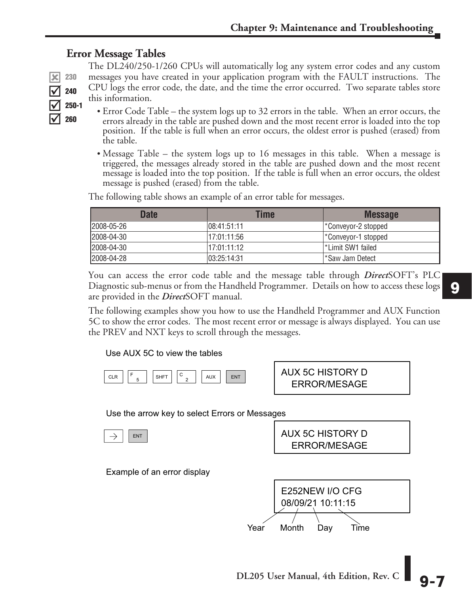#### **Error Message Tables**

The DL240/250-1/260 CPUs will automatically log any system error codes and any custom messages you have created in your application program with the FAULT instructions. The CPU logs the error code, the date, and the time the error occurred. Two separate tables store this information.

- Error Code Table the system logs up to 32 errors in the table. When an error occurs, the errors already in the table are pushed down and the most recent error is loaded into the top position. If the table is full when an error occurs, the oldest error is pushed (erased) from the table.
- Message Table the system logs up to 16 messages in this table. When a message is triggered, the messages already stored in the table are pushed down and the most recent message is loaded into the top position. If the table is full when an error occurs, the oldest message is pushed (erased) from the table.

**Date Time Message** 2008-05-26 08:41:51:11 \*Conveyor-2 stopped 2008-04-30 **17:01:11:56** \*Conveyor-1 stopped 2008-04-30 17:01:11:12 \*Limit SW1 failed 2008-04-28 03:25:14:31 \*Saw Jam Detect

The following table shows an example of an error table for messages.

You can access the error code table and the message table through *Direct*SOFT's PLC Diagnostic sub-menus or from the Handheld Programmer. Details on how to access these logs are provided in the *Direct*SOFT manual.

The following examples show you how to use the Handheld Programmer and AUX Function 5C to show the error codes. The most recent error or message is always displayed. You can use the PREV and NXT keys to scroll through the messages.

#### Use AUX 5C to view the tables



 ERROR/MESAGE AUX 5C HISTORY D

Use the arrow key to select Errors or Messages



Example of an error display

08/09/21 10:11:15 E252NEW I/O CFG Year Month Day Time

 ERROR/MESAGE AUX 5C HISTORY D

230 240 250-1 260  $\overline{\mathbf{x}}$  $\overline{\overline{\mathsf{M}}}$  $\overline{\text{M}}$  $\overline{\overline{\mathsf{M}}}$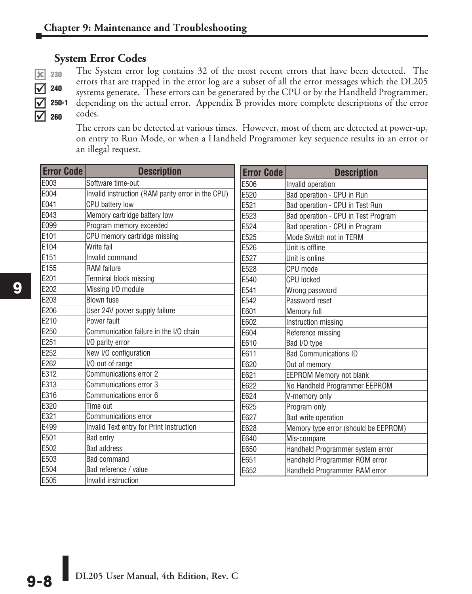#### **System Error Codes**

| 240       |
|-----------|
| 250<br>ı. |
| 260       |

The System error log contains 32 of the most recent errors that have been detected. The errors that are trapped in the error log are a subset of all the error messages which the DL205 systems generate. These errors can be generated by the CPU or by the Handheld Programmer, 250-1 depending on the actual error. Appendix B provides more complete descriptions of the error codes.

The errors can be detected at various times. However, most of them are detected at power-up, on entry to Run Mode, or when a Handheld Programmer key sequence results in an error or an illegal request.

| <b>Error Code</b> | <b>Description</b>                                | <b>Error Code</b> | <b>Description</b>                   |
|-------------------|---------------------------------------------------|-------------------|--------------------------------------|
| E003              | Software time-out                                 | E506              | Invalid operation                    |
| E004              | Invalid instruction (RAM parity error in the CPU) | E520              | Bad operation - CPU in Run           |
| E041              | CPU battery low                                   | E521              | Bad operation - CPU in Test Run      |
| E043              | Memory cartridge battery low                      | E523              | Bad operation - CPU in Test Program  |
| E099              | Program memory exceeded                           | E524              | Bad operation - CPU in Program       |
| E101              | CPU memory cartridge missing                      | E525              | Mode Switch not in TERM              |
| E104              | Write fail                                        | E526              | Unit is offline                      |
| E151              | Invalid command                                   | E527              | Unit is online                       |
| E155              | <b>RAM</b> failure                                | E528              | CPU mode                             |
| E201              | Terminal block missing                            | E540              | <b>CPU</b> locked                    |
| E202              | Missing I/O module                                | E541              | Wrong password                       |
| E203              | <b>Blown fuse</b>                                 | E542              | Password reset                       |
| E206              | User 24V power supply failure                     | E601              | Memory full                          |
| E210              | Power fault                                       | E602              | Instruction missing                  |
| E250              | Communication failure in the I/O chain            | E604              | Reference missing                    |
| E251              | I/O parity error                                  | E610              | Bad I/O type                         |
| E252              | New I/O configuration                             | E611              | <b>Bad Communications ID</b>         |
| E262              | I/O out of range                                  | E620              | Out of memory                        |
| E312              | Communications error 2                            | E621              | <b>EEPROM Memory not blank</b>       |
| E313              | Communications error 3                            | E622              | No Handheld Programmer EEPROM        |
| E316              | Communications error 6                            | E624              | V-memory only                        |
| E320              | Time out                                          | E625              | Program only                         |
| E321              | <b>Communications error</b>                       | E627              | Bad write operation                  |
| E499              | Invalid Text entry for Print Instruction          | E628              | Memory type error (should be EEPROM) |
| E501              | Bad entry                                         | E640              | Mis-compare                          |
| E502              | <b>Bad address</b>                                | E650              | Handheld Programmer system error     |
| E503              | <b>Bad command</b>                                | E651              | Handheld Programmer ROM error        |
| E504              | Bad reference / value                             | E652              | Handheld Programmer RAM error        |
| E505              | Invalid instruction                               |                   |                                      |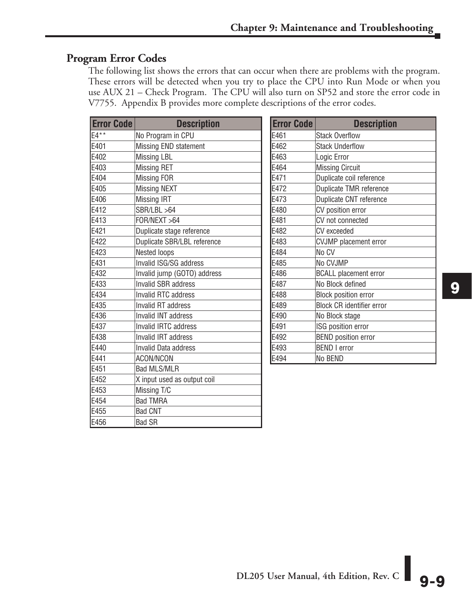#### **Program Error Codes**

E456 Bad SR

The following list shows the errors that can occur when there are problems with the program. These errors will be detected when you try to place the CPU into Run Mode or when you use AUX 21 – Check Program. The CPU will also turn on SP52 and store the error code in V7755. Appendix B provides more complete descriptions of the error codes.

| <b>Error Code</b> | <b>Description</b>          | <b>Error Code</b> | <b>Description</b>               |
|-------------------|-----------------------------|-------------------|----------------------------------|
| $F4**$            | No Program in CPU           | E461              | <b>Stack Overflow</b>            |
| E401              | Missing END statement       | E462              | <b>Stack Underflow</b>           |
| E402              | <b>Missing LBL</b>          | E463              | Logic Error                      |
| E403              | <b>Missing RET</b>          | E464              | <b>Missing Circuit</b>           |
| E404              | Missing FOR                 | E471              | Duplicate coil reference         |
| E405              | <b>Missing NEXT</b>         | E472              | Duplicate TMR reference          |
| E406              | <b>Missing IRT</b>          | E473              | Duplicate CNT reference          |
| E412              | SBR/LBL >64                 | E480              | CV position error                |
| E413              | FOR/NEXT > 64               | E481              | CV not connected                 |
| E421              | Duplicate stage reference   | E482              | CV exceeded                      |
| E422              | Duplicate SBR/LBL reference | E483              | <b>CVJMP</b> placement error     |
| E423              | <b>Nested loops</b>         | E484              | No CV                            |
| E431              | Invalid ISG/SG address      | E485              | No CVJMP                         |
| E432              | Invalid jump (GOTO) address | E486              | <b>BCALL</b> placement error     |
| E433              | <b>Invalid SBR address</b>  | E487              | No Block defined                 |
| E434              | Invalid RTC address         | E488              | <b>Block position error</b>      |
| E435              | Invalid RT address          | E489              | <b>Block CR identifier error</b> |
| E436              | Invalid INT address         | E490              | No Block stage                   |
| E437              | Invalid IRTC address        | E491              | ISG position error               |
| E438              | Invalid IRT address         | E492              | <b>BEND</b> position error       |
| E440              | <b>Invalid Data address</b> | E493              | <b>BEND I error</b>              |
| E441              | <b>ACON/NCON</b>            | E494              | No BEND                          |
| E451              | <b>Bad MLS/MLR</b>          |                   |                                  |
| E452              | X input used as output coil |                   |                                  |
| E453              | Missing T/C                 |                   |                                  |
| E454              | <b>Bad TMRA</b>             |                   |                                  |
| E455              | <b>Bad CNT</b>              |                   |                                  |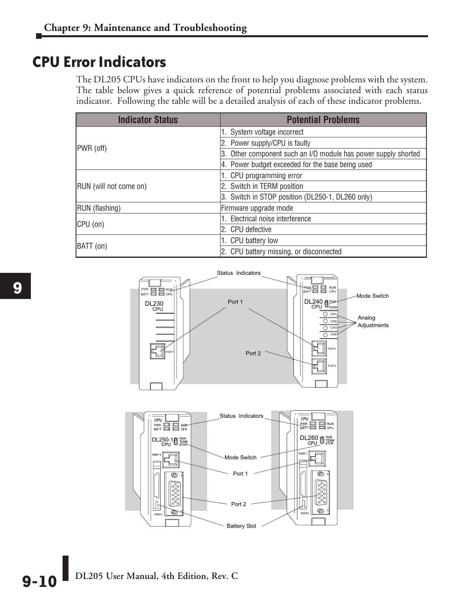## **CPU Error Indicators**

The DL205 CPUs have indicators on the front to help you diagnose problems with the system. The table below gives a quick reference of potential problems associated with each status indicator. Following the table will be a detailed analysis of each of these indicator problems.

| <b>Indicator Status</b> | <b>Potential Problems</b>                                      |  |
|-------------------------|----------------------------------------------------------------|--|
|                         | 1. System voltage incorrect                                    |  |
| PWR (off)               | 2. Power supply/CPU is faulty                                  |  |
|                         | 3. Other component such an I/O module has power supply shorted |  |
|                         | 4. Power budget exceeded for the base being used               |  |
|                         | 1. CPU programming error                                       |  |
| RUN (will not come on)  | 2. Switch in TERM position                                     |  |
|                         | 3. Switch in STOP position (DL250-1, DL260 only)               |  |
| RUN (flashing)          | Firmware upgrade mode                                          |  |
|                         | 1. Electrical noise interference                               |  |
| CPU (on)                | 2. CPU defective                                               |  |
|                         | 1. CPU battery low                                             |  |
| BATT (on)               | 2. CPU battery missing, or disconnected                        |  |





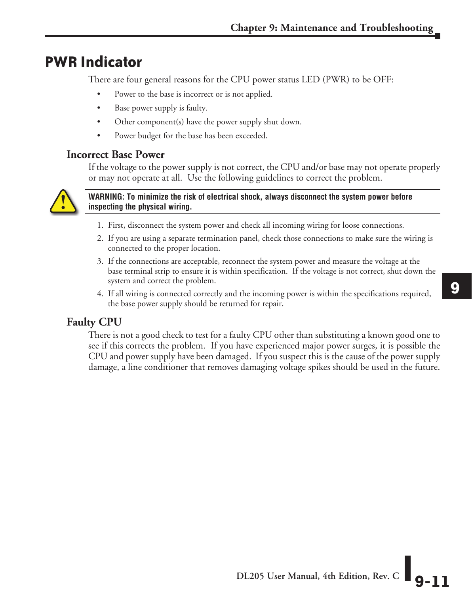## **PWR Indicator**

There are four general reasons for the CPU power status LED (PWR) to be OFF:

- Power to the base is incorrect or is not applied.
- Base power supply is faulty.
- Other component(s) have the power supply shut down.
- Power budget for the base has been exceeded.

#### **Incorrect Base Power**

If the voltage to the power supply is not correct, the CPU and/or base may not operate properly or may not operate at all. Use the following guidelines to correct the problem.



#### **WARNING: To minimize the risk of electrical shock, always disconnect the system power before inspecting the physical wiring.**

- 1. First, disconnect the system power and check all incoming wiring for loose connections.
- 2. If you are using a separate termination panel, check those connections to make sure the wiring is connected to the proper location.
- 3. If the connections are acceptable, reconnect the system power and measure the voltage at the base terminal strip to ensure it is within specification. If the voltage is not correct, shut down the system and correct the problem.
- 4. If all wiring is connected correctly and the incoming power is within the specifications required, the base power supply should be returned for repair.

#### **Faulty CPU**

There is not a good check to test for a faulty CPU other than substituting a known good one to see if this corrects the problem. If you have experienced major power surges, it is possible the CPU and power supply have been damaged. If you suspect this is the cause of the power supply damage, a line conditioner that removes damaging voltage spikes should be used in the future.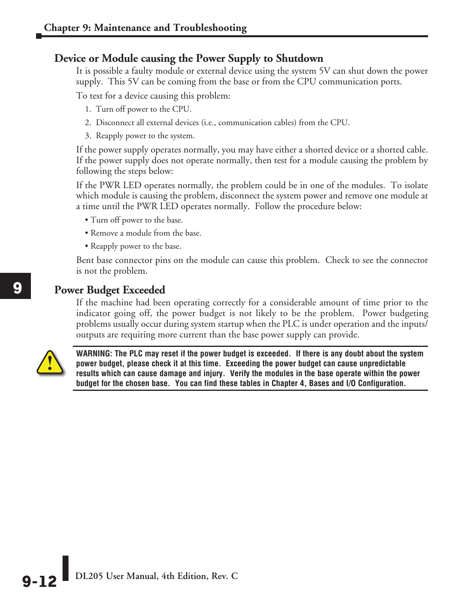#### **Device or Module causing the Power Supply to Shutdown**

It is possible a faulty module or external device using the system 5V can shut down the power supply. This 5V can be coming from the base or from the CPU communication ports.

To test for a device causing this problem:

- 1. Turn off power to the CPU.
- 2. Disconnect all external devices (i.e., communication cables) from the CPU.
- 3. Reapply power to the system.

If the power supply operates normally, you may have either a shorted device or a shorted cable. If the power supply does not operate normally, then test for a module causing the problem by following the steps below:

If the PWR LED operates normally, the problem could be in one of the modules. To isolate which module is causing the problem, disconnect the system power and remove one module at a time until the PWR LED operates normally. Follow the procedure below:

- Turn off power to the base.
- Remove a module from the base.
- Reapply power to the base.

Bent base connector pins on the module can cause this problem. Check to see the connector is not the problem.

#### **Power Budget Exceeded**

If the machine had been operating correctly for a considerable amount of time prior to the indicator going off, the power budget is not likely to be the problem. Power budgeting problems usually occur during system startup when the PLC is under operation and the inputs/ outputs are requiring more current than the base power supply can provide.



**WARNING: The PLC may reset if the power budget is exceeded. If there is any doubt about the system power budget, please check it at this time. Exceeding the power budget can cause unpredictable results which can cause damage and injury. Verify the modules in the base operate within the power budget for the chosen base. You can find these tables in Chapter 4, Bases and I/O Configuration.**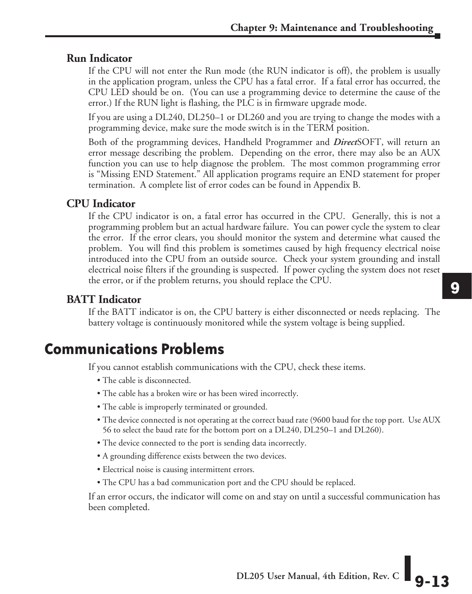#### **Run Indicator**

If the CPU will not enter the Run mode (the RUN indicator is off), the problem is usually in the application program, unless the CPU has a fatal error. If a fatal error has occurred, the CPU LED should be on. (You can use a programming device to determine the cause of the error.) If the RUN light is flashing, the PLC is in firmware upgrade mode.

If you are using a DL240, DL250–1 or DL260 and you are trying to change the modes with a programming device, make sure the mode switch is in the TERM position.

Both of the programming devices, Handheld Programmer and *Direct*SOFT, will return an error message describing the problem. Depending on the error, there may also be an AUX function you can use to help diagnose the problem. The most common programming error is "Missing END Statement." All application programs require an END statement for proper termination. A complete list of error codes can be found in Appendix B.

#### **CPU Indicator**

If the CPU indicator is on, a fatal error has occurred in the CPU. Generally, this is not a programming problem but an actual hardware failure. You can power cycle the system to clear the error. If the error clears, you should monitor the system and determine what caused the problem. You will find this problem is sometimes caused by high frequency electrical noise introduced into the CPU from an outside source. Check your system grounding and install electrical noise filters if the grounding is suspected. If power cycling the system does not reset the error, or if the problem returns, you should replace the CPU.

#### **BATT Indicator**

If the BATT indicator is on, the CPU battery is either disconnected or needs replacing. The battery voltage is continuously monitored while the system voltage is being supplied.

## **Communications Problems**

If you cannot establish communications with the CPU, check these items.

- The cable is disconnected.
- The cable has a broken wire or has been wired incorrectly.
- The cable is improperly terminated or grounded.
- The device connected is not operating at the correct baud rate (9600 baud for the top port. Use AUX 56 to select the baud rate for the bottom port on a DL240, DL250–1 and DL260).
- The device connected to the port is sending data incorrectly.
- A grounding difference exists between the two devices.
- Electrical noise is causing intermittent errors.
- The CPU has a bad communication port and the CPU should be replaced.

If an error occurs, the indicator will come on and stay on until a successful communication has been completed.

**9**

**DL205 User Manual, 4th Edition, Rev. C 9-13**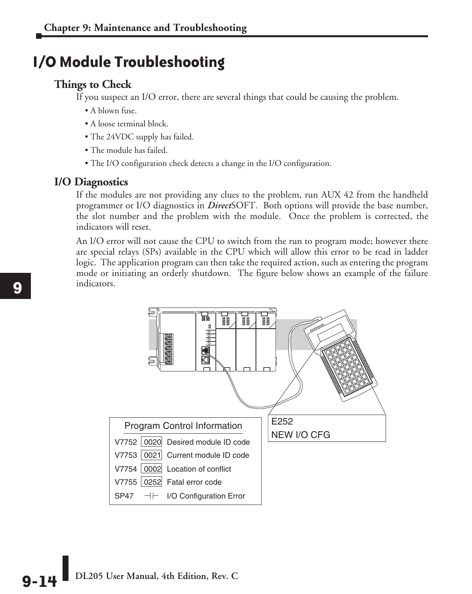## **I/O Module Troubleshooting**

#### **Things to Check**

If you suspect an I/O error, there are several things that could be causing the problem.

- A blown fuse.
- A loose terminal block.
- The 24VDC supply has failed.
- The module has failed.
- The I/O configuration check detects a change in the I/O configuration.

#### **I/O Diagnostics**

If the modules are not providing any clues to the problem, run AUX 42 from the handheld programmer or I/O diagnostics in *Direct*SOFT. Both options will provide the base number, the slot number and the problem with the module. Once the problem is corrected, the indicators will reset.

An I/O error will not cause the CPU to switch from the run to program mode; however there are special relays (SPs) available in the CPU which will allow this error to be read in ladder logic. The application program can then take the required action, such as entering the program mode or initiating an orderly shutdown. The figure below shows an example of the failure indicators.



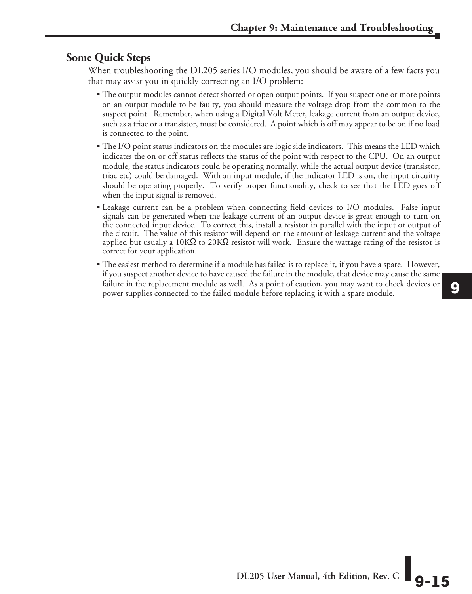#### **Some Quick Steps**

When troubleshooting the DL205 series I/O modules, you should be aware of a few facts you that may assist you in quickly correcting an I/O problem:

- The output modules cannot detect shorted or open output points. If you suspect one or more points on an output module to be faulty, you should measure the voltage drop from the common to the suspect point. Remember, when using a Digital Volt Meter, leakage current from an output device, such as a triac or a transistor, must be considered. A point which is off may appear to be on if no load is connected to the point.
- The I/O point status indicators on the modules are logic side indicators. This means the LED which indicates the on or off status reflects the status of the point with respect to the CPU. On an output module, the status indicators could be operating normally, while the actual output device (transistor, triac etc) could be damaged. With an input module, if the indicator LED is on, the input circuitry should be operating properly. To verify proper functionality, check to see that the LED goes off when the input signal is removed.
- Leakage current can be a problem when connecting field devices to I/O modules. False input signals can be generated when the leakage current of an output device is great enough to turn on the connected input device. To correct this, install a resistor in parallel with the input or output of the circuit. The value of this resistor will depend on the amount of leakage current and the voltage applied but usually a 10KΩ to 20KΩ resistor will work. Ensure the wattage rating of the resistor is correct for your application.
- The easiest method to determine if a module has failed is to replace it, if you have a spare. However, if you suspect another device to have caused the failure in the module, that device may cause the same failure in the replacement module as well. As a point of caution, you may want to check devices or power supplies connected to the failed module before replacing it with a spare module.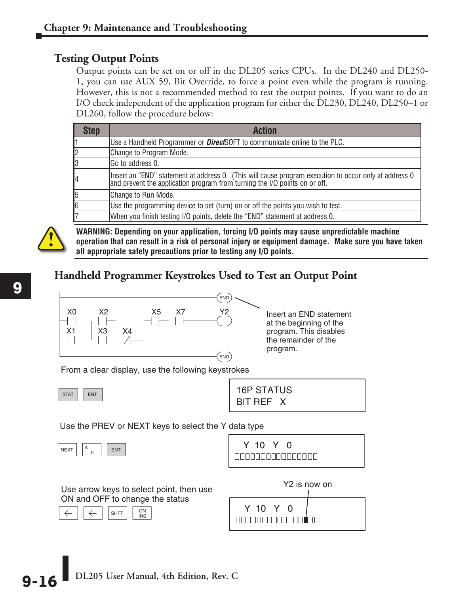#### **Testing Output Points**

Output points can be set on or off in the DL205 series CPUs. In the DL240 and DL250- 1, you can use AUX 59, Bit Override, to force a point even while the program is running. However, this is not a recommended method to test the output points. If you want to do an I/O check independent of the application program for either the DL230, DL240, DL250–1 or DL260, follow the procedure below:

| <b>Step</b> | Action                                                                                                                                                                               |
|-------------|--------------------------------------------------------------------------------------------------------------------------------------------------------------------------------------|
|             | Use a Handheld Programmer or <b>Direct</b> SOFT to communicate online to the PLC.                                                                                                    |
|             | Change to Program Mode.                                                                                                                                                              |
| 3           | Go to address 0.                                                                                                                                                                     |
| 4           | Insert an "END" statement at address 0. (This will cause program execution to occur only at address 0<br> and prevent the application program from turning the I/O points on or off. |
| 5           | Change to Run Mode.                                                                                                                                                                  |
| 6           | Use the programming device to set (turn) on or off the points you wish to test.                                                                                                      |
|             | When you finish testing I/O points, delete the "END" statement at address 0.                                                                                                         |



**WARNING: Depending on your application, forcing I/O points may cause unpredictable machine operation that can result in a risk of personal injury or equipment damage. Make sure you have taken all appropriate safety precautions prior to testing any I/O points.**

#### **Handheld Programmer Keystrokes Used to Test an Output Point**



Insert an END statement at the beginning of the program. This disables the remainder of the program.

From a clear display, use the following keystrokes



| <b>STAT</b><br><b>ENT</b> | <b>16P STATUS</b> |
|---------------------------|-------------------|
|                           | BIT REF X         |

Use the PREV or NEXT keys to select the Y data type

| <b>NFXT</b><br> |  |  |  |  |
|-----------------|--|--|--|--|
|-----------------|--|--|--|--|

| Y 10 Y 0 |                                       |  |
|----------|---------------------------------------|--|
|          | ومواملها والماما والماح الماحا والمار |  |

Use arrow keys to select point, then use ON and OFF to change the status



|                                                                                                                                   | Y <sub>2</sub> is now on |
|-----------------------------------------------------------------------------------------------------------------------------------|--------------------------|
| Y 10 Y 0<br><u> 1989 - Antonio Antonio Antonio Antonio Antonio Antonio Antonio Antonio Antonio Antonio Antonio Antonio Antoni</u> |                          |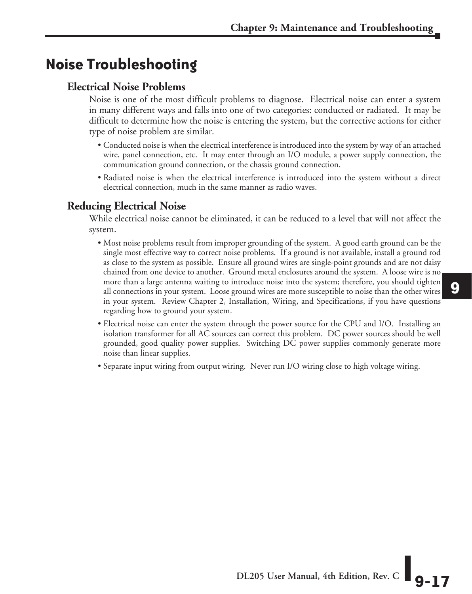## **Noise Troubleshooting**

#### **Electrical Noise Problems**

Noise is one of the most difficult problems to diagnose. Electrical noise can enter a system in many different ways and falls into one of two categories: conducted or radiated. It may be difficult to determine how the noise is entering the system, but the corrective actions for either type of noise problem are similar.

- Conducted noise is when the electrical interference is introduced into the system by way of an attached wire, panel connection, etc. It may enter through an I/O module, a power supply connection, the communication ground connection, or the chassis ground connection.
- Radiated noise is when the electrical interference is introduced into the system without a direct electrical connection, much in the same manner as radio waves.

#### **Reducing Electrical Noise**

While electrical noise cannot be eliminated, it can be reduced to a level that will not affect the system.

- Most noise problems result from improper grounding of the system. A good earth ground can be the single most effective way to correct noise problems. If a ground is not available, install a ground rod as close to the system as possible. Ensure all ground wires are single-point grounds and are not daisy chained from one device to another. Ground metal enclosures around the system. A loose wire is no more than a large antenna waiting to introduce noise into the system; therefore, you should tighten all connections in your system. Loose ground wires are more susceptible to noise than the other wires in your system. Review Chapter 2, Installation, Wiring, and Specifications, if you have questions regarding how to ground your system.
- Electrical noise can enter the system through the power source for the CPU and I/O. Installing an isolation transformer for all AC sources can correct this problem. DC power sources should be well grounded, good quality power supplies. Switching DC power supplies commonly generate more noise than linear supplies.
- Separate input wiring from output wiring. Never run I/O wiring close to high voltage wiring.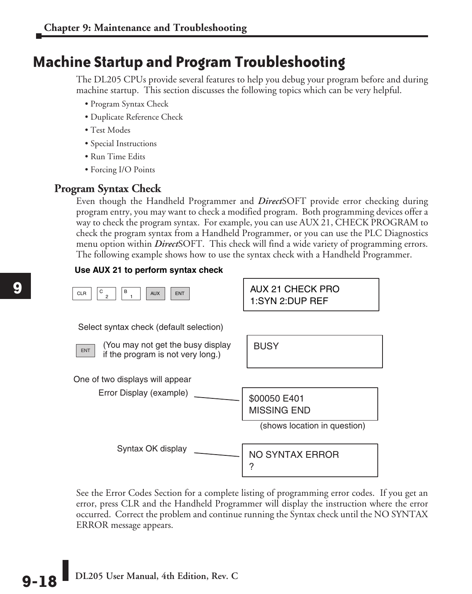## **Machine Startup and Program Troubleshooting**

The DL205 CPUs provide several features to help you debug your program before and during machine startup. This section discusses the following topics which can be very helpful.

- Program Syntax Check
- Duplicate Reference Check
- Test Modes
- Special Instructions
- Run Time Edits
- Forcing I/O Points

#### **Program Syntax Check**

Even though the Handheld Programmer and *Direct*SOFT provide error checking during program entry, you may want to check a modified program. Both programming devices offer a way to check the program syntax. For example, you can use AUX 21, CHECK PROGRAM to check the program syntax from a Handheld Programmer, or you can use the PLC Diagnostics menu option within *Direct*SOFT. This check will find a wide variety of programming errors. The following example shows how to use the syntax check with a Handheld Programmer.

#### **Use AUX 21 to perform syntax check**



See the Error Codes Section for a complete listing of programming error codes. If you get an error, press CLR and the Handheld Programmer will display the instruction where the error occurred. Correct the problem and continue running the Syntax check until the NO SYNTAX ERROR message appears.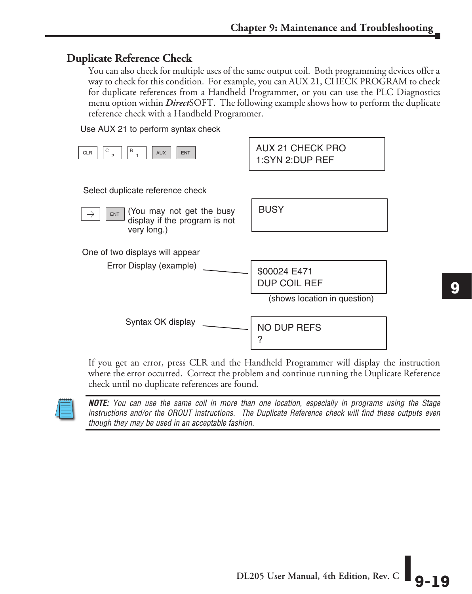#### **Duplicate Reference Check**

You can also check for multiple uses of the same output coil. Both programming devices offer a way to check for this condition. For example, you can AUX 21, CHECK PROGRAM to check for duplicate references from a Handheld Programmer, or you can use the PLC Diagnostics menu option within *Direct*SOFT. The following example shows how to perform the duplicate reference check with a Handheld Programmer.

Use AUX 21 to perform syntax check

| В<br>С<br><b>CLR</b><br><b>AUX</b><br><b>ENT</b><br>$\overline{c}$                      | <b>AUX 21 CHECK PRO</b><br>1:SYN 2:DUP REF                   |
|-----------------------------------------------------------------------------------------|--------------------------------------------------------------|
| Select duplicate reference check                                                        |                                                              |
| (You may not get the busy<br><b>ENT</b><br>display if the program is not<br>very long.) | <b>BUSY</b>                                                  |
| One of two displays will appear<br>Error Display (example)                              | \$00024 E471<br>DUP COIL REF<br>(shows location in question) |
| Syntax OK display                                                                       | NO DUP REFS<br>?                                             |

If you get an error, press CLR and the Handheld Programmer will display the instruction where the error occurred. Correct the problem and continue running the Duplicate Reference check until no duplicate references are found. check until no duplicate references are found.



*NOTE: You can use the same coil in more than one location, especially in programs using the Stage*  instructions and/or the OROUT instructions. The Duplicate Reference check will find these outputs even *though they may be used in an acceptable fashion.*  $\frac{1}{t}$ th<br>tpu<br>—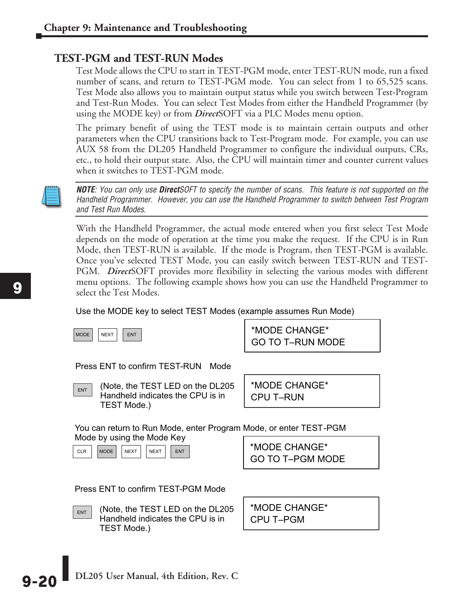#### **TEST-PGM and TEST-RUN Modes**

Test Mode allows the CPU to start in TEST-PGM mode, enter TEST-RUN mode, run a fixed number of scans, and return to TEST-PGM mode. You can select from 1 to 65,525 scans. Test Mode also allows you to maintain output status while you switch between Test-Program and Test-Run Modes. You can select Test Modes from either the Handheld Programmer (by using the MODE key) or from *Direct*SOFT via a PLC Modes menu option.

The primary benefit of using the TEST mode is to maintain certain outputs and other parameters when the CPU transitions back to Test-Program mode. For example, you can use AUX 58 from the DL205 Handheld Programmer to configure the individual outputs, CRs, etc., to hold their output state. Also, the CPU will maintain timer and counter current values when it switches to TEST-PGM mode.



*NOTE: You can only use DirectSOFT to specify the number of scans. This feature is not supported on the Handheld Programmer. However, you can use the Handheld Programmer to switch between Test Program and Test Run Modes.*

With the Handheld Programmer, the actual mode entered when you first select Test Mode depends on the mode of operation at the time you make the request. If the CPU is in Run Mode, then TEST-RUN is available. If the mode is Program, then TEST-PGM is available. Once you've selected TEST Mode, you can easily switch between TEST-RUN and TEST-PGM. *Direct*SOFT provides more flexibility in selecting the various modes with different menu options. The following example shows how you can use the Handheld Programmer to select the Test Modes.

Use the MODE key to select TEST Modes (example assumes Run Mode)



GO TO T–RUN MODE \*MODE CHANGE\*

Press ENT to confirm TEST-RUN Mode



 $\overline{\mathbb{R}}$  (Note, the TEST LED on the DL205 Handheld indicates the CPU is in TEST Mode.)

CPU T–RUN \*MODE CHANGE\*

You can return to Run Mode, enter Program Mode, or enter TEST-PGM Mode by using the Mode Key

CLR | MODE | NEXT | NEXT | ENT

GO TO T–PGM MODE \*MODE CHANGE\*

Press ENT to confirm TEST-PGM Mode



 $\boxed{\mathsf{ENT}}$  (Note, the TEST LED on the DL205 Handheld indicates the CPU is in TEST Mode.)

CPU T–PGM \*MODE CHANGE\*

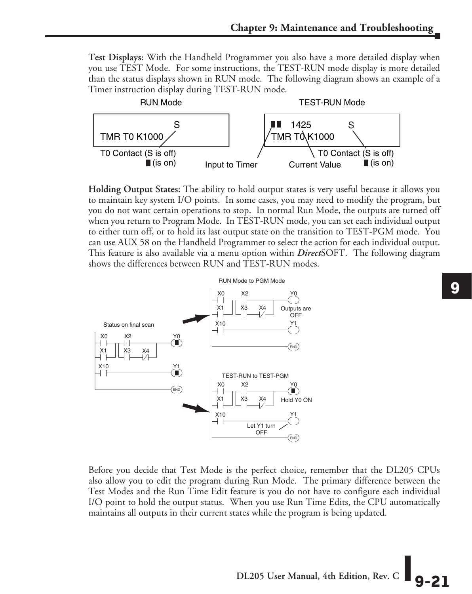**Test Displays:** With the Handheld Programmer you also have a more detailed display when you use TEST Mode. For some instructions, the TEST-RUN mode display is more detailed than the status displays shown in RUN mode. The following diagram shows an example of a Timer instruction display during TEST-RUN mode.



**Holding Output States:** The ability to hold output states is very useful because it allows you to maintain key system I/O points. In some cases, you may need to modify the program, but you do not want certain operations to stop. In normal Run Mode, the outputs are turned off when you return to Program Mode. In TEST-RUN mode, you can set each individual output to either turn off, or to hold its last output state on the transition to TEST-PGM mode. You can use AUX 58 on the Handheld Programmer to select the action for each individual output. This feature is also available via a menu option within *Direct*SOFT. The following diagram shows the differences between RUN and TEST-RUN modes. ้อา<br>วน<br>วน s y<br>1, l<br>1ty<br>Y



Before you decide that Test Mode is the perfect choice, remember that the DL205 CPUs also allow you to edit the program during Run Mode. The primary difference between the Test Modes and the Run Time Edit feature is you do not have to configure each individual I/O point to hold the output status. When you use Run Time Edits, the CPU automatically maintains all outputs in their current states while the program is being updated.

DL205 User Manual, 4th Edition, Rev. C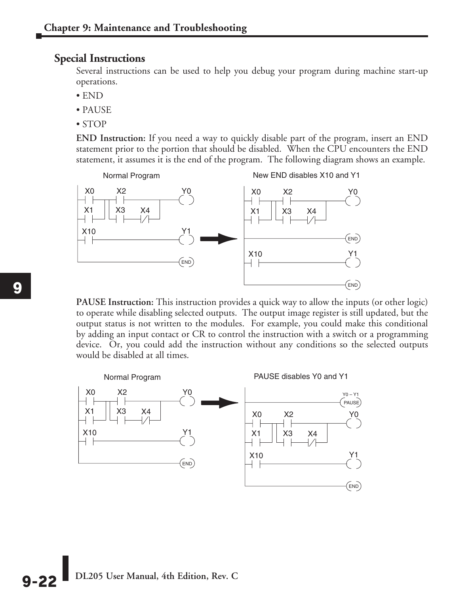#### **Special Instructions**

Several instructions can be used to help you debug your program during machine start-up operations.

- END
- PAUSE
- STOP

**END Instruction:** If you need a way to quickly disable part of the program, insert an END statement prior to the portion that should be disabled. When the CPU encounters the END statement, it assumes it is the end of the program. The following diagram shows an example.



**PAUSE Instruction:** This instruction provides a quick way to allow the inputs (or other logic) to operate while disabling selected outputs. The output image register is still updated, but the output status is not written to the modules. For example, you could make this conditional by adding an input contact or CR to control the instruction with a switch or a programming device. Or, you could add the instruction without any conditions so the selected outputs would be disabled at all times.



**Q\_22** DL205 User Manual, 4th Edition, Rev. C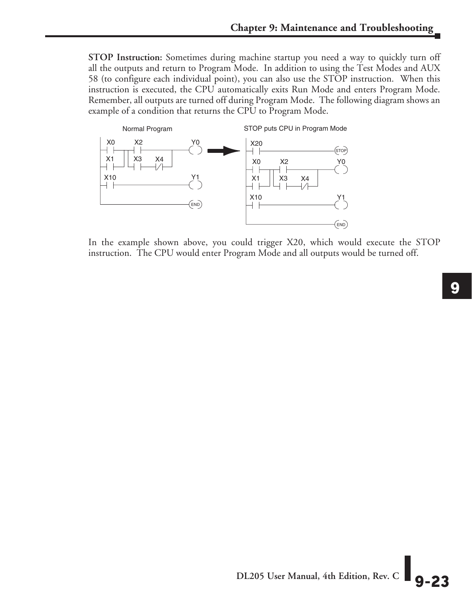**STOP Instruction:** Sometimes during machine startup you need a way to quickly turn off all the outputs and return to Program Mode. In addition to using the Test Modes and AUX 58 (to configure each individual point), you can also use the STOP instruction. When this instruction is executed, the CPU automatically exits Run Mode and enters Program Mode. Remember, all outputs are turned off during Program Mode. The following diagram shows an example of a condition that returns the CPU to Program Mode.



In the example shown above, you could trigger X20, which would execute the STOP

DL205 User Manual, 4th Edition, Rev. C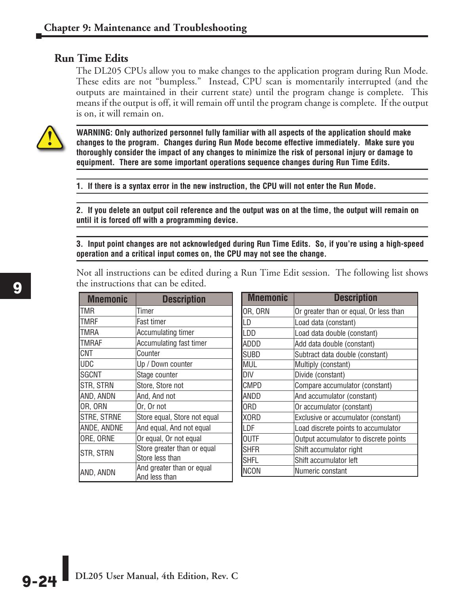#### **Run Time Edits**

The DL205 CPUs allow you to make changes to the application program during Run Mode. These edits are not "bumpless." Instead, CPU scan is momentarily interrupted (and the outputs are maintained in their current state) until the program change is complete. This means if the output is off, it will remain off until the program change is complete. If the output is on, it will remain on.



**WARNING: Only authorized personnel fully familiar with all aspects of the application should make changes to the program. Changes during Run Mode become effective immediately. Make sure you thoroughly consider the impact of any changes to minimize the risk of personal injury or damage to equipment. There are some important operations sequence changes during Run Time Edits.** 

**1. If there is a syntax error in the new instruction, the CPU will not enter the Run Mode.**

**2. If you delete an output coil reference and the output was on at the time, the output will remain on until it is forced off with a programming device.**

**3. Input point changes are not acknowledged during Run Time Edits. So, if you're using a high-speed operation and a critical input comes on, the CPU may not see the change.**

Not all instructions can be edited during a Run Time Edit session. The following list shows the instructions that can be edited.

| <b>Mnemonic</b>    | <b>Description</b>           |
|--------------------|------------------------------|
| TMR                | Timer                        |
| TMRF               | <b>Fast timer</b>            |
| TMRA               | <b>Accumulating timer</b>    |
| TMRAF              | Accumulating fast timer      |
| CNT                | Counter                      |
| UDC                | Up / Down counter            |
| SGCNT              | Stage counter                |
| STR, STRN          | Store, Store not             |
| AND, ANDN          | And, And not                 |
| OR, ORN            | Or, Or not                   |
| <b>STRE, STRNE</b> | Store equal, Store not equal |
| ANDE, ANDNE        | And equal, And not equal     |
| ORE, ORNE          | Or equal, Or not equal       |
| STR, STRN          | Store greater than or equal  |
|                    | Store less than              |
| AND, ANDN          | And greater than or equal    |
|                    | And less than                |

| <b>Mnemonic</b> | <b>Description</b>                     |
|-----------------|----------------------------------------|
| OR, ORN         | Or greater than or equal, Or less than |
| LD              | Load data (constant)                   |
| ILDD            | Load data double (constant)            |
| ADDD            | Add data double (constant)             |
| ISUBD           | Subtract data double (constant)        |
| <b>MUL</b>      | Multiply (constant)                    |
| DIV             | Divide (constant)                      |
| <b>CMPD</b>     | Compare accumulator (constant)         |
| <b>ANDD</b>     | And accumulator (constant)             |
| <b>ORD</b>      | Or accumulator (constant)              |
| <b>XORD</b>     | Exclusive or accumulator (constant)    |
| ILDF            | Load discrete points to accumulator    |
| <b>OUTF</b>     | Output accumulator to discrete points  |
| <b>ISHFR</b>    | Shift accumulator right                |
| <b>SHFL</b>     | Shift accumulator left                 |
| INCON           | Numeric constant                       |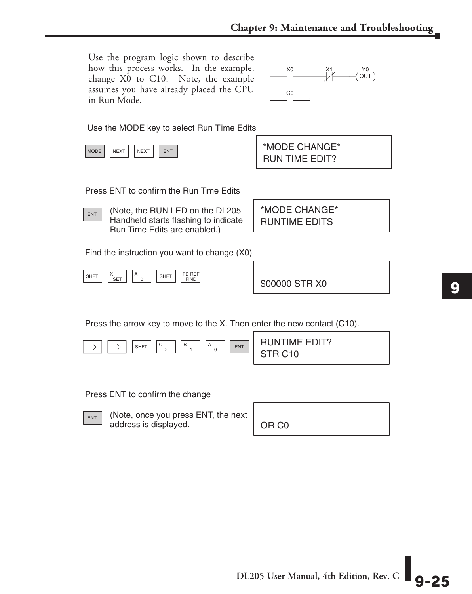Use the program logic shown to describe how this process works. In the example, change X0 to C10. Note, the example assumes you have already placed the CPU in Run Mode.



Use the MODE key to select Run Time Edits

| <b>MODE</b> | <b>NEXT</b> | <b>NFXT</b> | FN. |
|-------------|-------------|-------------|-----|
|-------------|-------------|-------------|-----|

RUN TIME EDIT? \*MODE CHANGE\*

Press ENT to confirm the Run Time Edits

 $\overline{E_{\text{ENT}}}$  (Note, the RUN LED on the DL205 Handheld starts flashing to indicate Run Time Edits are enabled.)

RUNTIME EDITS \*MODE CHANGE\*

Find the instruction you want to change (X0)

SHFT  $\vert$   $\vert$ <sup>x</sup> SET 0  $A_0$  | SHFT | FD REF

\$00000 STR X0

Press the arrow key to move to the X. Then enter the new contact (C10).

SHET  $\boxed{C_A}$   $\boxed{B_A}$   $\boxed{A_A}$   $\boxed{ENT}$  RUNTIME EDIT? C B ENT  $\rightarrow$ 2 0 STR C10

Press ENT to confirm the change

 $\overline{\mathsf{ENT}}$  (Note, once you press ENT, the next address is displayed.

OR C0



**DL205 User Manual, 4th Edition, Rev. C 9-25**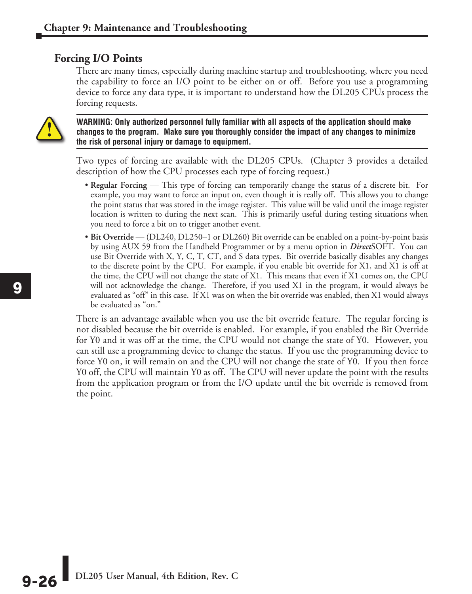#### **Forcing I/O Points**

There are many times, especially during machine startup and troubleshooting, where you need the capability to force an I/O point to be either on or off. Before you use a programming device to force any data type, it is important to understand how the DL205 CPUs process the forcing requests.



**WARNING: Only authorized personnel fully familiar with all aspects of the application should make changes to the program. Make sure you thoroughly consider the impact of any changes to minimize the risk of personal injury or damage to equipment.**

Two types of forcing are available with the DL205 CPUs. (Chapter 3 provides a detailed description of how the CPU processes each type of forcing request.)

- **Regular Forcing** This type of forcing can temporarily change the status of a discrete bit. For example, you may want to force an input on, even though it is really off. This allows you to change the point status that was stored in the image register. This value will be valid until the image register location is written to during the next scan. This is primarily useful during testing situations when you need to force a bit on to trigger another event.
- **Bit Override** (DL240, DL250–1 or DL260) Bit override can be enabled on a point-by-point basis by using AUX 59 from the Handheld Programmer or by a menu option in *Direct*SOFT. You can use Bit Override with X, Y, C, T, CT, and S data types. Bit override basically disables any changes to the discrete point by the CPU. For example, if you enable bit override for X1, and X1 is off at the time, the CPU will not change the state of X1. This means that even if X1 comes on, the CPU will not acknowledge the change. Therefore, if you used X1 in the program, it would always be evaluated as "off" in this case. If X1 was on when the bit override was enabled, then X1 would always be evaluated as "on."

There is an advantage available when you use the bit override feature. The regular forcing is not disabled because the bit override is enabled. For example, if you enabled the Bit Override for Y0 and it was off at the time, the CPU would not change the state of Y0. However, you can still use a programming device to change the status. If you use the programming device to force Y0 on, it will remain on and the CPU will not change the state of Y0. If you then force Y0 off, the CPU will maintain Y0 as off. The CPU will never update the point with the results from the application program or from the I/O update until the bit override is removed from the point.

**Q\_26** DL205 User Manual, 4th Edition, Rev. C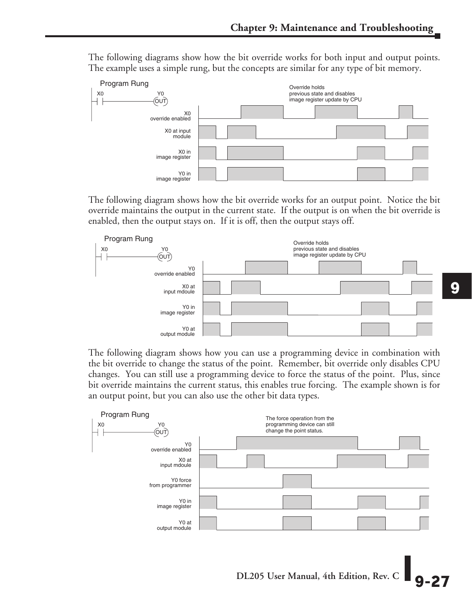The following diagrams show how the bit override works for both input and output points.<br>The example uses a simple rung, but the concepts are similar for any type of bit memory. The example uses a simple rung, but the concepts are similar for any type of bit memory.



The following diagram shows how the bit override works for an output point. Notice the bit override maintains the output in the current state. If the output is on when the bit override is enabled, then the output stays on. If it is off, then the output stays off.



The following diagram shows how you can use a programming device in combination with the bit override to change the status of the point. Remember, bit override only disables CPU changes. You can still use a programming device to force the status of the point. Plus, since bit override maintains the current status, this enables true forcing. The example shown is for an output point, but you can also use the other bit data types.



**DL205 User Manual, 4th Edition, Rev. C 9-27**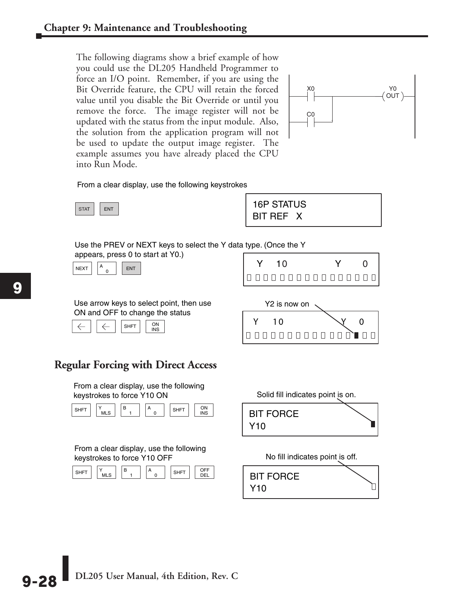The following diagrams show a brief example of how you could use the DL205 Handheld Programmer to force an I/O point. Remember, if you are using the Bit Override feature, the CPU will retain the forced value until you disable the Bit Override or until you remove the force. The image register will not be updated with the status from the input module. Also, the solution from the application program will not be used to update the output image register. The example assumes you have already placed the CPU into Run Mode.



From a clear display, use the following keystrokes



 $\begin{array}{|c|c|c|}\n\hline\n\text{STAT} & \text{ENT}\n\end{array}$  16P STATUS<br>BIT REF X

| Use the PREV or NEXT keys to select the Y data type. (Once the Y |  |
|------------------------------------------------------------------|--|
| appears, press 0 to start at Y0.)                                |  |



| s, press u to start at YU.)<br>A<br><b>ENT</b> |  |                  |  |  |
|------------------------------------------------|--|------------------|--|--|
|                                                |  | Innnnnnnnnnnnnnn |  |  |

Use arrow keys to select point, then use ON and OFF to change the status



0000000000000000

#### **Regular Forcing with Direct Access**

From a clear display, use the following keystrokes to force Y10 ON Solid fill indicates point is on.



From a clear display, use the following keystrokes to force Y10 OFF No fill indicates point is off.



| <b>BIT FORCE</b><br>Y <sub>10</sub> |  |
|-------------------------------------|--|
|                                     |  |

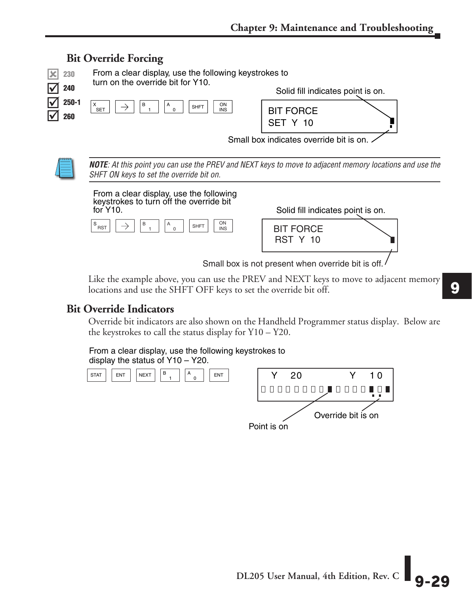

Like the example above, you can use the PREV and NEXT keys to move to adjacent memory locations and use the SHFT OFF keys to set the override bit off.

#### **Bit Override Indicators**

Override bit indicators are also shown on the Handheld Programmer status display. Below are the keystrokes to call the status display for Y10 – Y20.

From a clear display, use the following keystrokes to display the status of Y10 – Y20.



Point is on

**DL205 User Manual, 4th Edition, Rev. C** 

**9**